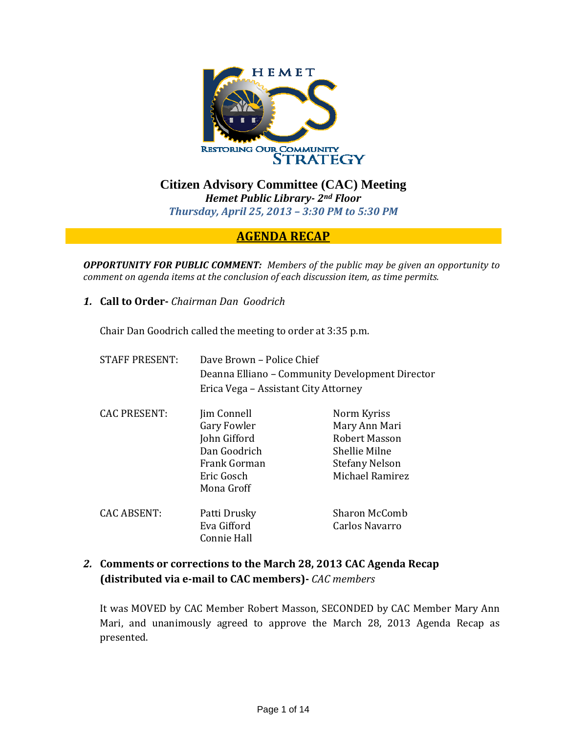

**Citizen Advisory Committee (CAC) Meeting**  *Hemet Public Library 2nd Floor Thursday, April 25, 2013 – 3:30 PM to 5:30 PM*

### **AGENDA RECAP**

*OPPORTUNITY FOR PUBLIC COMMENT: Members of the public may be given an opportunity to comment on agenda items at the conclusion of each discussion item, as time permits.*

*1.* **Call to Order** *Chairman Dan Goodrich*

Chair Dan Goodrich called the meeting to order at 3:35 p.m.

| <b>STAFF PRESENT:</b> | Dave Brown - Police Chief<br>Deanna Elliano – Community Development Director<br>Erica Vega – Assistant City Attorney |                                                                                                            |
|-----------------------|----------------------------------------------------------------------------------------------------------------------|------------------------------------------------------------------------------------------------------------|
| <b>CAC PRESENT:</b>   | Jim Connell<br>Gary Fowler<br>John Gifford<br>Dan Goodrich<br>Frank Gorman<br>Eric Gosch<br>Mona Groff               | Norm Kyriss<br>Mary Ann Mari<br>Robert Masson<br>Shellie Milne<br><b>Stefany Nelson</b><br>Michael Ramirez |
| CAC ABSENT:           | Patti Drusky<br>Eva Gifford<br>Connie Hall                                                                           | Sharon McComb<br>Carlos Navarro                                                                            |

### *2.* **Comments or corrections to the March 28, 2013 CAC Agenda Recap (distributed via email to CAC members)** *CAC members*

It was MOVED by CAC Member Robert Masson, SECONDED by CAC Member Mary Ann Mari, and unanimously agreed to approve the March 28, 2013 Agenda Recap as presented.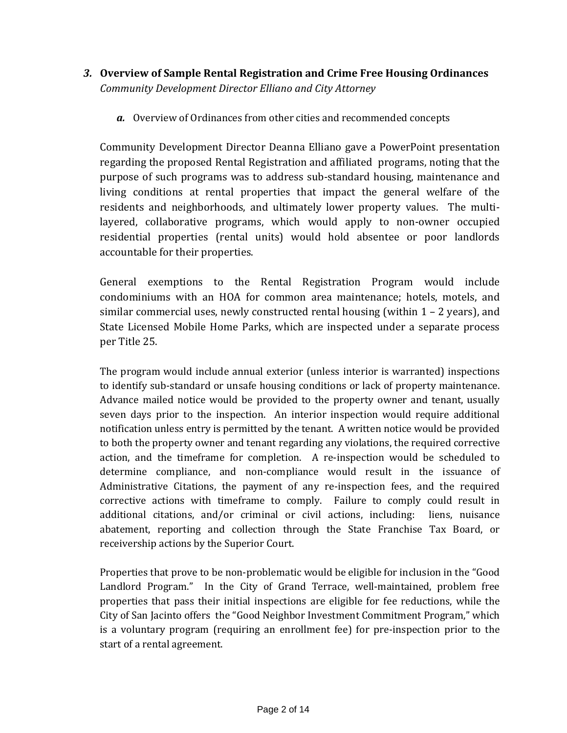- *3.* **Overview of Sample Rental Registration and Crime Free Housing Ordinances** *Community Development Director Elliano and City Attorney*
	- *a.* Overview of Ordinances from other cities and recommended concepts

Community Development Director Deanna Elliano gave a PowerPoint presentation regarding the proposed Rental Registration and affiliated programs, noting that the purpose of such programs was to address sub‐standard housing, maintenance and living conditions at rental properties that impact the general welfare of the residents and neighborhoods, and ultimately lower property values. The multilayered, collaborative programs, which would apply to non-owner occupied residential properties (rental units) would hold absentee or poor landlords accountable for their properties.

General exemptions to the Rental Registration Program would include condominiums with an HOA for common area maintenance; hotels, motels, and similar commercial uses, newly constructed rental housing (within  $1 - 2$  years), and State Licensed Mobile Home Parks, which are inspected under a separate process per Title 25.

The program would include annual exterior (unless interior is warranted) inspections to identify sub‐standard or unsafe housing conditions or lack of property maintenance. Advance mailed notice would be provided to the property owner and tenant, usually seven days prior to the inspection. An interior inspection would require additional notification unless entry is permitted by the tenant. A written notice would be provided to both the property owner and tenant regarding any violations, the required corrective action, and the timeframe for completion. A re-inspection would be scheduled to determine compliance, and non‐compliance would result in the issuance of Administrative Citations, the payment of any re‐inspection fees, and the required corrective actions with timeframe to comply. Failure to comply could result in additional citations, and/or criminal or civil actions, including: liens, nuisance abatement, reporting and collection through the State Franchise Tax Board, or receivership actions by the Superior Court.

Properties that prove to be non‐problematic would be eligible for inclusion in the "Good Landlord Program." In the City of Grand Terrace, well-maintained, problem free properties that pass their initial inspections are eligible for fee reductions, while the City of San Jacinto offers the "Good Neighbor Investment Commitment Program," which is a voluntary program (requiring an enrollment fee) for pre‐inspection prior to the start of a rental agreement.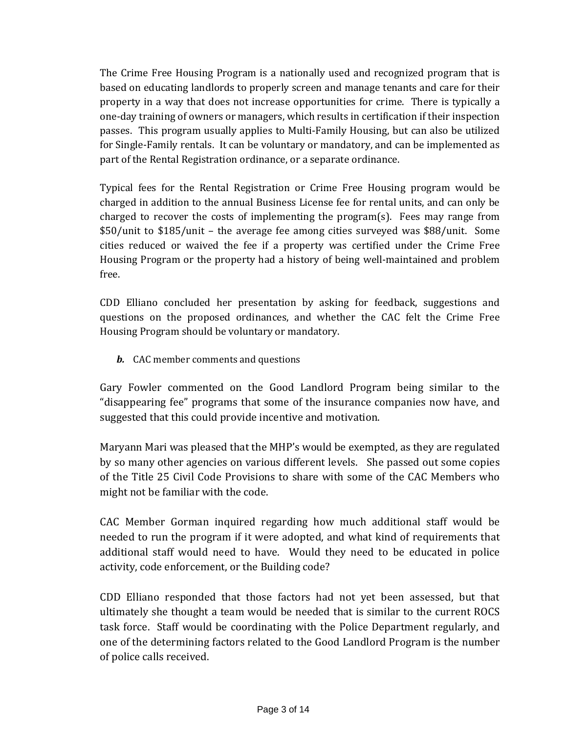The Crime Free Housing Program is a nationally used and recognized program that is based on educating landlords to properly screen and manage tenants and care for their property in a way that does not increase opportunities for crime. There is typically a one‐day training of owners or managers, which results in certification if their inspection passes. This program usually applies to Multi‐Family Housing, but can also be utilized for Single‐Family rentals. It can be voluntary or mandatory, and can be implemented as part of the Rental Registration ordinance, or a separate ordinance.

Typical fees for the Rental Registration or Crime Free Housing program would be charged in addition to the annual Business License fee for rental units, and can only be charged to recover the costs of implementing the  $program(s)$ . Fees may range from \$50/unit to \$185/unit – the average fee among cities surveyed was \$88/unit. Some cities reduced or waived the fee if a property was certified under the Crime Free Housing Program or the property had a history of being well‐maintained and problem free.

CDD Elliano concluded her presentation by asking for feedback, suggestions and questions on the proposed ordinances, and whether the CAC felt the Crime Free Housing Program should be voluntary or mandatory.

*b.* CAC member comments and questions

Gary Fowler commented on the Good Landlord Program being similar to the "disappearing fee" programs that some of the insurance companies now have, and suggested that this could provide incentive and motivation.

Maryann Mari was pleased that the MHP's would be exempted, as they are regulated by so many other agencies on various different levels. She passed out some copies of the Title 25 Civil Code Provisions to share with some of the CAC Members who might not be familiar with the code.

CAC Member Gorman inquired regarding how much additional staff would be needed to run the program if it were adopted, and what kind of requirements that additional staff would need to have. Would they need to be educated in police activity, code enforcement, or the Building code?

CDD Elliano responded that those factors had not yet been assessed, but that ultimately she thought a team would be needed that is similar to the current ROCS task force. Staff would be coordinating with the Police Department regularly, and one of the determining factors related to the Good Landlord Program is the number of police calls received.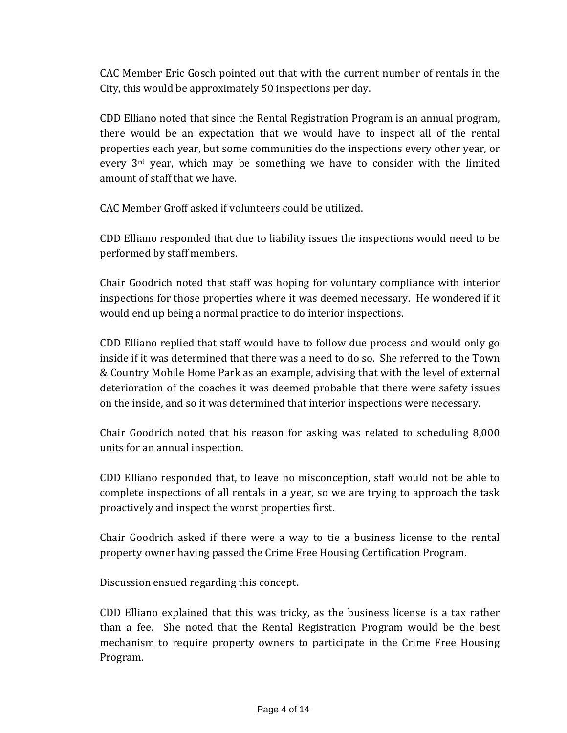CAC Member Eric Gosch pointed out that with the current number of rentals in the City, this would be approximately 50 inspections per day.

CDD Elliano noted that since the Rental Registration Program is an annual program, there would be an expectation that we would have to inspect all of the rental properties each year, but some communities do the inspections every other year, or every  $3<sup>rd</sup>$  year, which may be something we have to consider with the limited amount of staff that we have.

CAC Member Groff asked if volunteers could be utilized.

CDD Elliano responded that due to liability issues the inspections would need to be performed by staff members.

Chair Goodrich noted that staff was hoping for voluntary compliance with interior inspections for those properties where it was deemed necessary. He wondered if it would end up being a normal practice to do interior inspections.

CDD Elliano replied that staff would have to follow due process and would only go inside if it was determined that there was a need to do so. She referred to the Town & Country Mobile Home Park as an example, advising that with the level of external deterioration of the coaches it was deemed probable that there were safety issues on the inside, and so it was determined that interior inspections were necessary.

Chair Goodrich noted that his reason for asking was related to scheduling 8,000 units for an annual inspection.

CDD Elliano responded that, to leave no misconception, staff would not be able to complete inspections of all rentals in a year, so we are trying to approach the task proactively and inspect the worst properties first.

Chair Goodrich asked if there were a way to tie a business license to the rental property owner having passed the Crime Free Housing Certification Program.

Discussion ensued regarding this concept.

CDD Elliano explained that this was tricky, as the business license is a tax rather than a fee. She noted that the Rental Registration Program would be the best mechanism to require property owners to participate in the Crime Free Housing Program.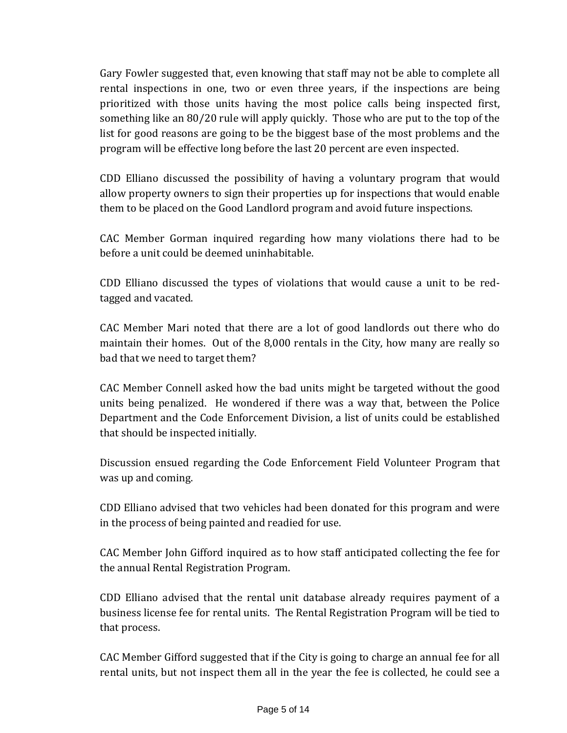Gary Fowler suggested that, even knowing that staff may not be able to complete all rental inspections in one, two or even three years, if the inspections are being prioritized with those units having the most police calls being inspected first, something like an 80/20 rule will apply quickly. Those who are put to the top of the list for good reasons are going to be the biggest base of the most problems and the program will be effective long before the last 20 percent are even inspected.

CDD Elliano discussed the possibility of having a voluntary program that would allow property owners to sign their properties up for inspections that would enable them to be placed on the Good Landlord program and avoid future inspections.

CAC Member Gorman inquired regarding how many violations there had to be before a unit could be deemed uninhabitable.

CDD Elliano discussed the types of violations that would cause a unit to be red‐ tagged and vacated.

CAC Member Mari noted that there are a lot of good landlords out there who do maintain their homes. Out of the 8,000 rentals in the City, how many are really so bad that we need to target them?

CAC Member Connell asked how the bad units might be targeted without the good units being penalized. He wondered if there was a way that, between the Police Department and the Code Enforcement Division, a list of units could be established that should be inspected initially.

Discussion ensued regarding the Code Enforcement Field Volunteer Program that was up and coming.

CDD Elliano advised that two vehicles had been donated for this program and were in the process of being painted and readied for use.

CAC Member John Gifford inquired as to how staff anticipated collecting the fee for the annual Rental Registration Program.

CDD Elliano advised that the rental unit database already requires payment of a business license fee for rental units. The Rental Registration Program will be tied to that process.

CAC Member Gifford suggested that if the City is going to charge an annual fee for all rental units, but not inspect them all in the year the fee is collected, he could see a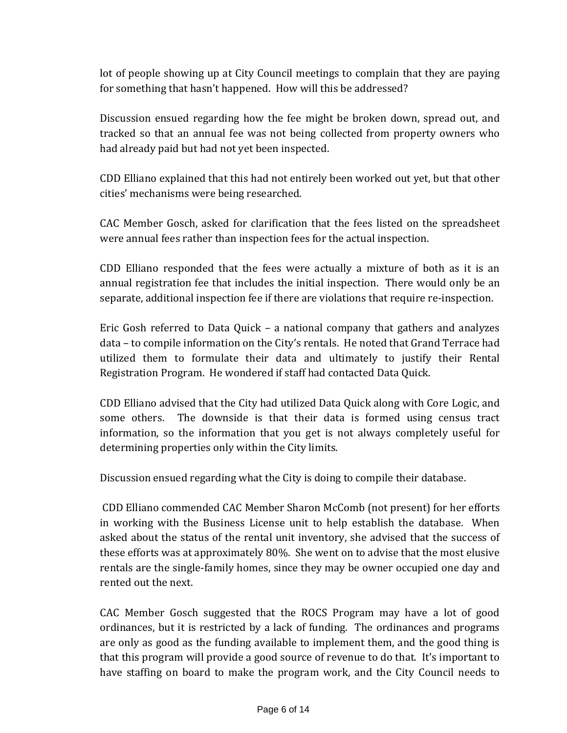lot of people showing up at City Council meetings to complain that they are paying for something that hasn't happened. How will this be addressed?

Discussion ensued regarding how the fee might be broken down, spread out, and tracked so that an annual fee was not being collected from property owners who had already paid but had not yet been inspected.

CDD Elliano explained that this had not entirely been worked out yet, but that other cities' mechanisms were being researched.

CAC Member Gosch, asked for clarification that the fees listed on the spreadsheet were annual fees rather than inspection fees for the actual inspection.

CDD Elliano responded that the fees were actually a mixture of both as it is an annual registration fee that includes the initial inspection. There would only be an separate, additional inspection fee if there are violations that require re-inspection.

Eric Gosh referred to Data Quick – a national company that gathers and analyzes data – to compile information on the City's rentals. He noted that Grand Terrace had utilized them to formulate their data and ultimately to justify their Rental Registration Program. He wondered if staff had contacted Data Quick.

CDD Elliano advised that the City had utilized Data Quick along with Core Logic, and some others. The downside is that their data is formed using census tract information, so the information that you get is not always completely useful for determining properties only within the City limits.

Discussion ensued regarding what the City is doing to compile their database.

 CDD Elliano commended CAC Member Sharon McComb (not present) for her efforts in working with the Business License unit to help establish the database. When asked about the status of the rental unit inventory, she advised that the success of these efforts was at approximately 80%. She went on to advise that the most elusive rentals are the single‐family homes, since they may be owner occupied one day and rented out the next.

CAC Member Gosch suggested that the ROCS Program may have a lot of good ordinances, but it is restricted by a lack of funding. The ordinances and programs are only as good as the funding available to implement them, and the good thing is that this program will provide a good source of revenue to do that. It's important to have staffing on board to make the program work, and the City Council needs to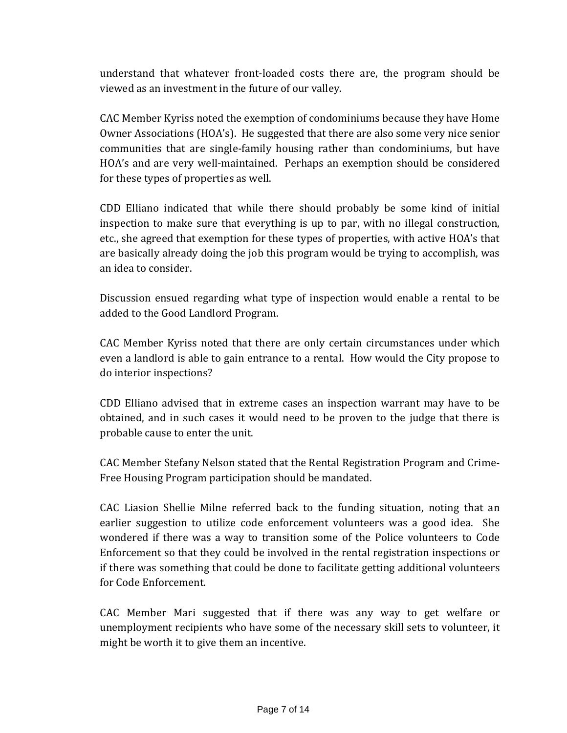understand that whatever front‐loaded costs there are, the program should be viewed as an investment in the future of our valley.

CAC Member Kyriss noted the exemption of condominiums because they have Home Owner Associations (HOA's). He suggested that there are also some very nice senior communities that are single‐family housing rather than condominiums, but have HOA's and are very well‐maintained. Perhaps an exemption should be considered for these types of properties as well.

CDD Elliano indicated that while there should probably be some kind of initial inspection to make sure that everything is up to par, with no illegal construction, etc., she agreed that exemption for these types of properties, with active HOA's that are basically already doing the job this program would be trying to accomplish, was an idea to consider.

Discussion ensued regarding what type of inspection would enable a rental to be added to the Good Landlord Program.

CAC Member Kyriss noted that there are only certain circumstances under which even a landlord is able to gain entrance to a rental. How would the City propose to do interior inspections?

CDD Elliano advised that in extreme cases an inspection warrant may have to be obtained, and in such cases it would need to be proven to the judge that there is probable cause to enter the unit.

CAC Member Stefany Nelson stated that the Rental Registration Program and Crime‐ Free Housing Program participation should be mandated.

CAC Liasion Shellie Milne referred back to the funding situation, noting that an earlier suggestion to utilize code enforcement volunteers was a good idea. She wondered if there was a way to transition some of the Police volunteers to Code Enforcement so that they could be involved in the rental registration inspections or if there was something that could be done to facilitate getting additional volunteers for Code Enforcement.

CAC Member Mari suggested that if there was any way to get welfare or unemployment recipients who have some of the necessary skill sets to volunteer, it might be worth it to give them an incentive.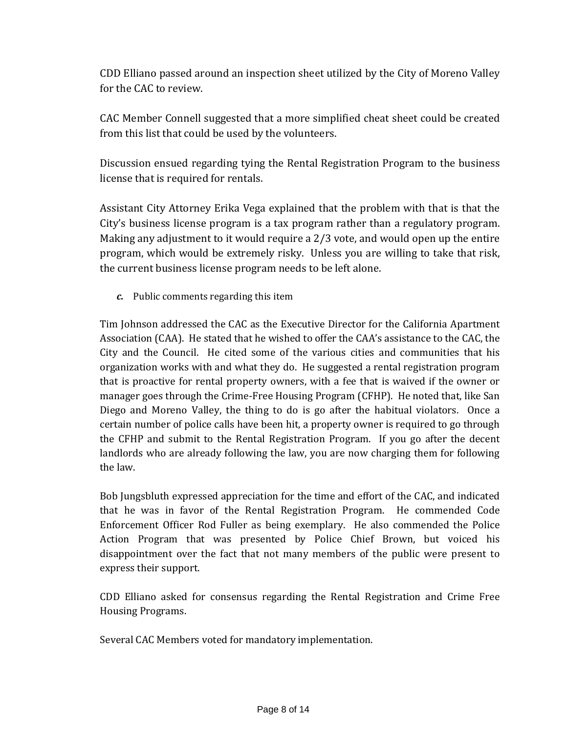CDD Elliano passed around an inspection sheet utilized by the City of Moreno Valley for the CAC to review.

CAC Member Connell suggested that a more simplified cheat sheet could be created from this list that could be used by the volunteers.

Discussion ensued regarding tying the Rental Registration Program to the business license that is required for rentals.

Assistant City Attorney Erika Vega explained that the problem with that is that the City's business license program is a tax program rather than a regulatory program. Making any adjustment to it would require a 2/3 vote, and would open up the entire program, which would be extremely risky. Unless you are willing to take that risk, the current business license program needs to be left alone.

*c.* Public comments regarding this item

Tim Johnson addressed the CAC as the Executive Director for the California Apartment Association (CAA). He stated that he wished to offer the CAA's assistance to the CAC, the City and the Council. He cited some of the various cities and communities that his organization works with and what they do. He suggested a rental registration program that is proactive for rental property owners, with a fee that is waived if the owner or manager goes through the Crime‐Free Housing Program (CFHP). He noted that, like San Diego and Moreno Valley, the thing to do is go after the habitual violators. Once a certain number of police calls have been hit, a property owner is required to go through the CFHP and submit to the Rental Registration Program. If you go after the decent landlords who are already following the law, you are now charging them for following the law.

Bob Jungsbluth expressed appreciation for the time and effort of the CAC, and indicated that he was in favor of the Rental Registration Program. He commended Code Enforcement Officer Rod Fuller as being exemplary. He also commended the Police Action Program that was presented by Police Chief Brown, but voiced his disappointment over the fact that not many members of the public were present to express their support.

CDD Elliano asked for consensus regarding the Rental Registration and Crime Free Housing Programs.

Several CAC Members voted for mandatory implementation.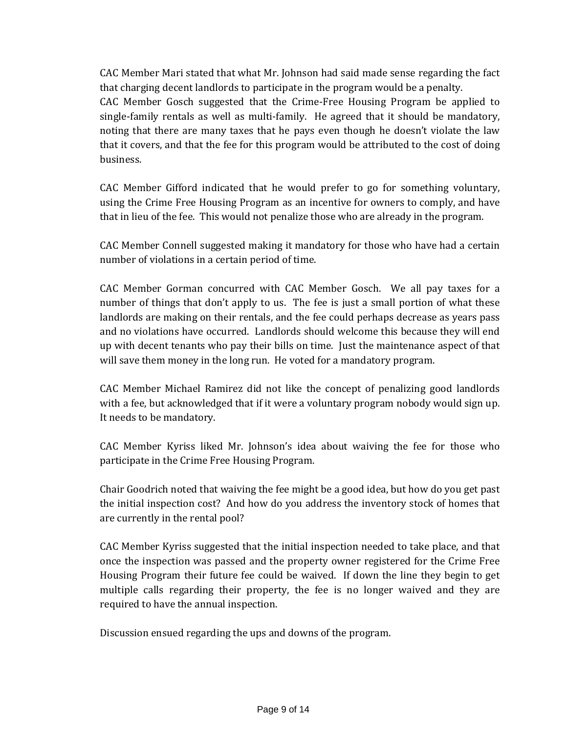CAC Member Mari stated that what Mr. Johnson had said made sense regarding the fact that charging decent landlords to participate in the program would be a penalty. CAC Member Gosch suggested that the Crime‐Free Housing Program be applied to single-family rentals as well as multi-family. He agreed that it should be mandatory, noting that there are many taxes that he pays even though he doesn't violate the law that it covers, and that the fee for this program would be attributed to the cost of doing business.

CAC Member Gifford indicated that he would prefer to go for something voluntary, using the Crime Free Housing Program as an incentive for owners to comply, and have that in lieu of the fee. This would not penalize those who are already in the program.

CAC Member Connell suggested making it mandatory for those who have had a certain number of violations in a certain period of time.

CAC Member Gorman concurred with CAC Member Gosch. We all pay taxes for a number of things that don't apply to us. The fee is just a small portion of what these landlords are making on their rentals, and the fee could perhaps decrease as years pass and no violations have occurred. Landlords should welcome this because they will end up with decent tenants who pay their bills on time. Just the maintenance aspect of that will save them money in the long run. He voted for a mandatory program.

CAC Member Michael Ramirez did not like the concept of penalizing good landlords with a fee, but acknowledged that if it were a voluntary program nobody would sign up. It needs to be mandatory.

CAC Member Kyriss liked Mr. Johnson's idea about waiving the fee for those who participate in the Crime Free Housing Program.

Chair Goodrich noted that waiving the fee might be a good idea, but how do you get past the initial inspection cost? And how do you address the inventory stock of homes that are currently in the rental pool?

CAC Member Kyriss suggested that the initial inspection needed to take place, and that once the inspection was passed and the property owner registered for the Crime Free Housing Program their future fee could be waived. If down the line they begin to get multiple calls regarding their property, the fee is no longer waived and they are required to have the annual inspection.

Discussion ensued regarding the ups and downs of the program.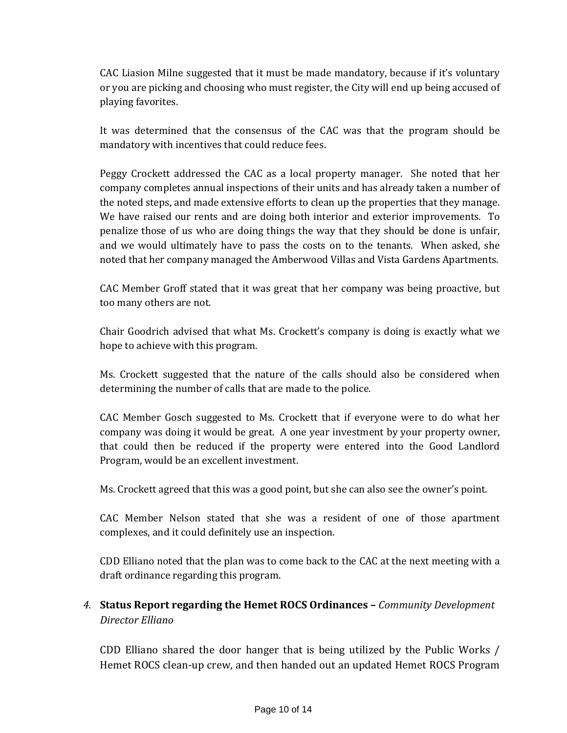CAC Liasion Milne suggested that it must be made mandatory, because if it's voluntary or you are picking and choosing who must register, the City will end up being accused of playing favorites.

It was determined that the consensus of the CAC was that the program should be mandatory with incentives that could reduce fees.

Peggy Crockett addressed the CAC as a local property manager. She noted that her company completes annual inspections of their units and has already taken a number of the noted steps, and made extensive efforts to clean up the properties that they manage. We have raised our rents and are doing both interior and exterior improvements. To penalize those of us who are doing things the way that they should be done is unfair, and we would ultimately have to pass the costs on to the tenants. When asked, she noted that her company managed the Amberwood Villas and Vista Gardens Apartments.

CAC Member Groff stated that it was great that her company was being proactive, but too many others are not.

Chair Goodrich advised that what Ms. Crockett's company is doing is exactly what we hope to achieve with this program.

Ms. Crockett suggested that the nature of the calls should also be considered when determining the number of calls that are made to the police.

CAC Member Gosch suggested to Ms. Crockett that if everyone were to do what her company was doing it would be great. A one year investment by your property owner, that could then be reduced if the property were entered into the Good Landlord Program, would be an excellent investment.

Ms. Crockett agreed that this was a good point, but she can also see the owner's point.

CAC Member Nelson stated that she was a resident of one of those apartment complexes, and it could definitely use an inspection.

CDD Elliano noted that the plan was to come back to the CAC at the next meeting with a draft ordinance regarding this program.

# *4.* **Status Report regarding the Hemet ROCS Ordinances –** *Community Development Director Elliano*

CDD Elliano shared the door hanger that is being utilized by the Public Works / Hemet ROCS clean‐up crew, and then handed out an updated Hemet ROCS Program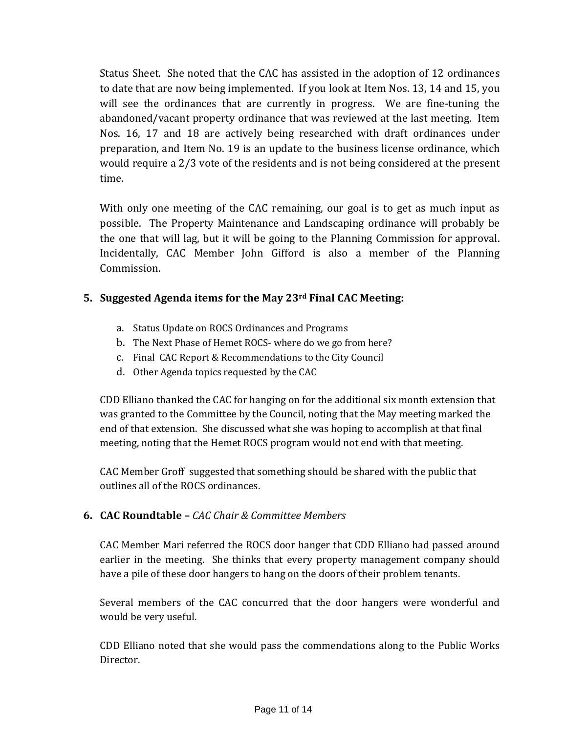Status Sheet. She noted that the CAC has assisted in the adoption of 12 ordinances to date that are now being implemented. If you look at Item Nos. 13, 14 and 15, you will see the ordinances that are currently in progress. We are fine-tuning the abandoned/vacant property ordinance that was reviewed at the last meeting. Item Nos. 16, 17 and 18 are actively being researched with draft ordinances under preparation, and Item No. 19 is an update to the business license ordinance, which would require a 2/3 vote of the residents and is not being considered at the present time.

With only one meeting of the CAC remaining, our goal is to get as much input as possible. The Property Maintenance and Landscaping ordinance will probably be the one that will lag, but it will be going to the Planning Commission for approval. Incidentally, CAC Member John Gifford is also a member of the Planning Commission.

## **5. Suggested Agenda items for the May 23rd Final CAC Meeting:**

- a. Status Update on ROCS Ordinances and Programs
- b. The Next Phase of Hemet ROCS‐ where do we go from here?
- c. Final CAC Report & Recommendations to the City Council
- d. Other Agenda topics requested by the CAC

CDD Elliano thanked the CAC for hanging on for the additional six month extension that was granted to the Committee by the Council, noting that the May meeting marked the end of that extension. She discussed what she was hoping to accomplish at that final meeting, noting that the Hemet ROCS program would not end with that meeting.

CAC Member Groff suggested that something should be shared with the public that outlines all of the ROCS ordinances.

## **6. CAC Roundtable –** *CAC Chair & Committee Members*

CAC Member Mari referred the ROCS door hanger that CDD Elliano had passed around earlier in the meeting. She thinks that every property management company should have a pile of these door hangers to hang on the doors of their problem tenants.

Several members of the CAC concurred that the door hangers were wonderful and would be very useful.

CDD Elliano noted that she would pass the commendations along to the Public Works Director.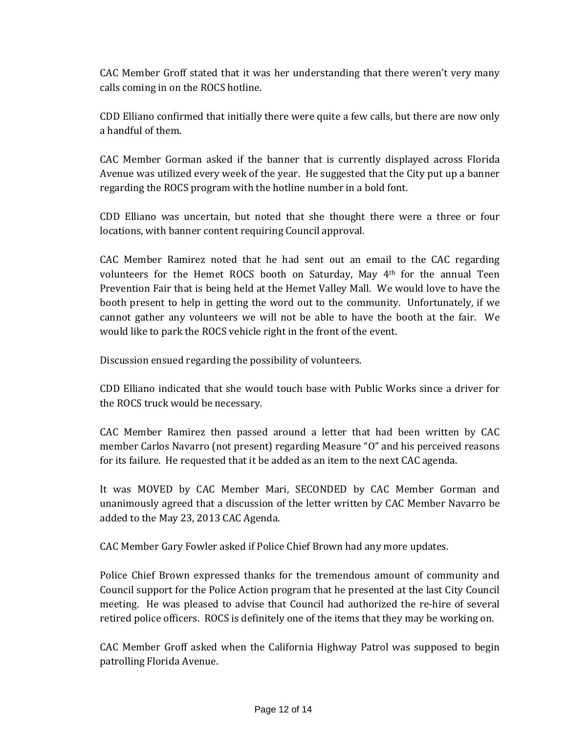CAC Member Groff stated that it was her understanding that there weren't very many calls coming in on the ROCS hotline.

CDD Elliano confirmed that initially there were quite a few calls, but there are now only a handful of them.

CAC Member Gorman asked if the banner that is currently displayed across Florida Avenue was utilized every week of the year. He suggested that the City put up a banner regarding the ROCS program with the hotline number in a bold font.

CDD Elliano was uncertain, but noted that she thought there were a three or four locations, with banner content requiring Council approval.

CAC Member Ramirez noted that he had sent out an email to the CAC regarding volunteers for the Hemet ROCS booth on Saturday, May 4<sup>th</sup> for the annual Teen Prevention Fair that is being held at the Hemet Valley Mall. We would love to have the booth present to help in getting the word out to the community. Unfortunately, if we cannot gather any volunteers we will not be able to have the booth at the fair. We would like to park the ROCS vehicle right in the front of the event.

Discussion ensued regarding the possibility of volunteers.

CDD Elliano indicated that she would touch base with Public Works since a driver for the ROCS truck would be necessary.

CAC Member Ramirez then passed around a letter that had been written by CAC member Carlos Navarro (not present) regarding Measure "O" and his perceived reasons for its failure. He requested that it be added as an item to the next CAC agenda.

It was MOVED by CAC Member Mari, SECONDED by CAC Member Gorman and unanimously agreed that a discussion of the letter written by CAC Member Navarro be added to the May 23, 2013 CAC Agenda.

CAC Member Gary Fowler asked if Police Chief Brown had any more updates.

Police Chief Brown expressed thanks for the tremendous amount of community and Council support for the Police Action program that he presented at the last City Council meeting. He was pleased to advise that Council had authorized the re-hire of several retired police officers. ROCS is definitely one of the items that they may be working on.

CAC Member Groff asked when the California Highway Patrol was supposed to begin patrolling Florida Avenue.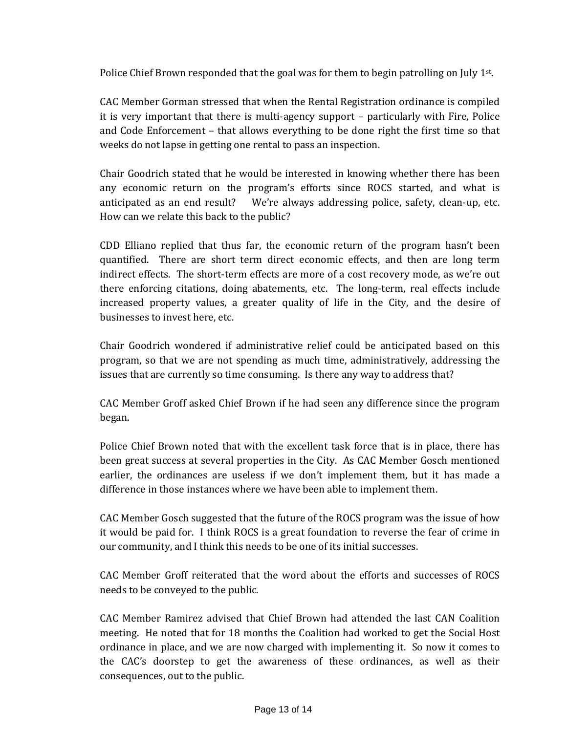Police Chief Brown responded that the goal was for them to begin patrolling on July 1st.

CAC Member Gorman stressed that when the Rental Registration ordinance is compiled it is very important that there is multi-agency support – particularly with Fire, Police and Code Enforcement – that allows everything to be done right the first time so that weeks do not lapse in getting one rental to pass an inspection.

Chair Goodrich stated that he would be interested in knowing whether there has been any economic return on the program's efforts since ROCS started, and what is anticipated as an end result? We're always addressing police, safety, clean-up, etc. How can we relate this back to the public?

CDD Elliano replied that thus far, the economic return of the program hasn't been quantified. There are short term direct economic effects, and then are long term indirect effects. The short-term effects are more of a cost recovery mode, as we're out there enforcing citations, doing abatements, etc. The long-term, real effects include increased property values, a greater quality of life in the City, and the desire of businesses to invest here, etc.

Chair Goodrich wondered if administrative relief could be anticipated based on this program, so that we are not spending as much time, administratively, addressing the issues that are currently so time consuming. Is there any way to address that?

CAC Member Groff asked Chief Brown if he had seen any difference since the program began.

Police Chief Brown noted that with the excellent task force that is in place, there has been great success at several properties in the City. As CAC Member Gosch mentioned earlier, the ordinances are useless if we don't implement them, but it has made a difference in those instances where we have been able to implement them.

CAC Member Gosch suggested that the future of the ROCS program was the issue of how it would be paid for. I think ROCS is a great foundation to reverse the fear of crime in our community, and I think this needs to be one of its initial successes.

CAC Member Groff reiterated that the word about the efforts and successes of ROCS needs to be conveyed to the public.

CAC Member Ramirez advised that Chief Brown had attended the last CAN Coalition meeting. He noted that for 18 months the Coalition had worked to get the Social Host ordinance in place, and we are now charged with implementing it. So now it comes to the CAC's doorstep to get the awareness of these ordinances, as well as their consequences, out to the public.